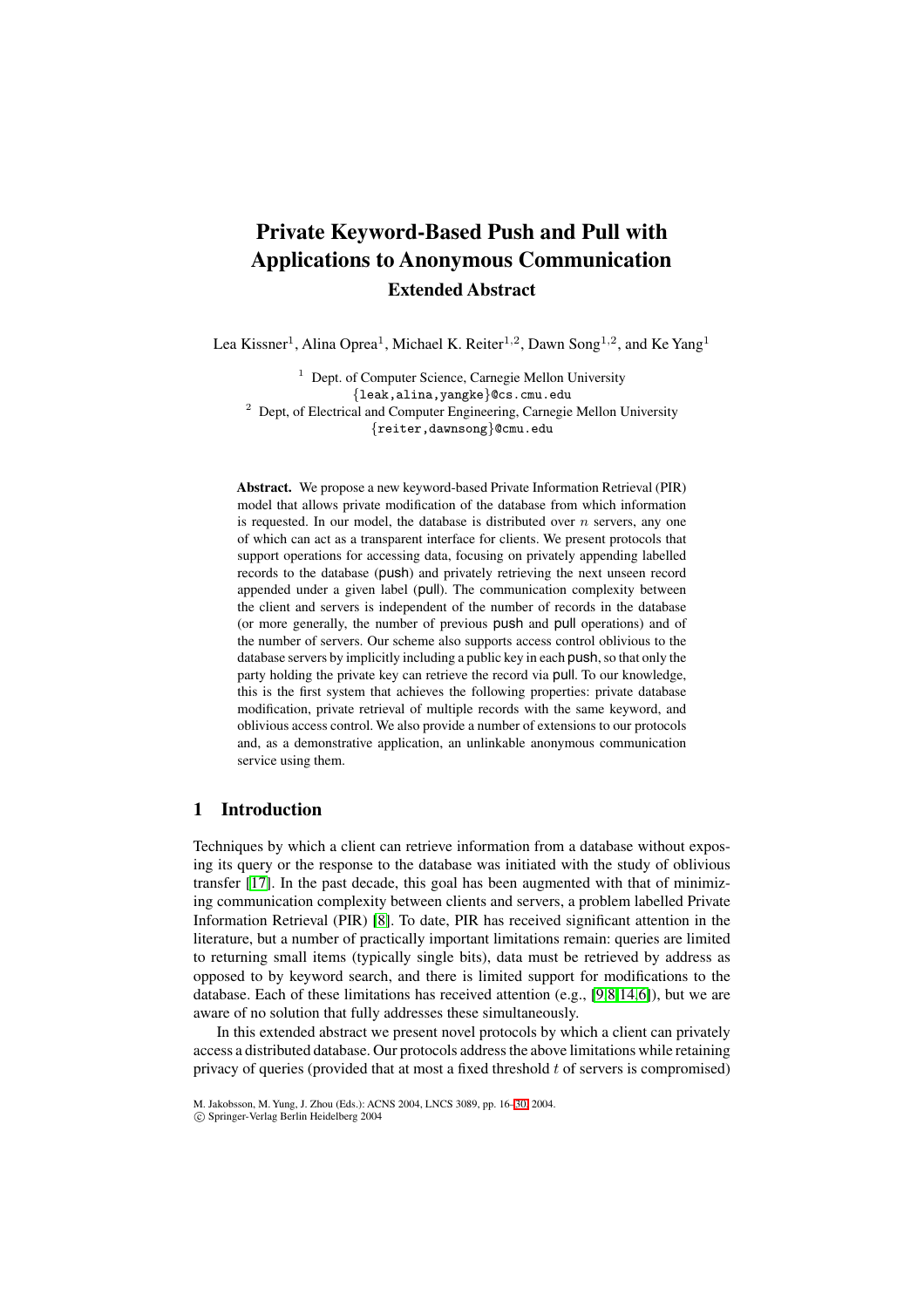# **Private Keyword-Based Push and Pull with Applications to Anonymous Communication Extended Abstract**

Lea Kissner<sup>1</sup>, Alina Oprea<sup>1</sup>, Michael K. Reiter<sup>1,2</sup>, Dawn Song<sup>1,2</sup>, and Ke Yang<sup>1</sup>

 $<sup>1</sup>$  Dept. of Computer Science, Carnegie Mellon University</sup> {leak,alina,yangke}@cs.cmu.edu <sup>2</sup> Dept, of Electrical and Computer Engineering, Carnegie Mellon University {reiter,dawnsong}@cmu.edu

**Abstract.** We propose a new keyword-based Private Information Retrieval (PIR) model that allows private modification of the database from which information is requested. In our model, the database is distributed over  $n$  servers, any one of which can act as a transparent interface for clients. We present protocols that support operations for accessing data, focusing on privately appending labelled records to the database (push) and privately retrieving the next unseen record appended under a given label (pull). The communication complexity between the client and servers is independent of the number of records in the database (or more generally, the number of previous push and pull operations) and of the number of servers. Our scheme also supports access control oblivious to the database servers by implicitly including a public key in each push, so that only the party holding the private key can retrieve the record via pull. To our knowledge, this is the first system that achieves the following properties: private database modification, private retrieval of multiple records with the same keyword, and oblivious access control. We also provide a number of extensions to our protocols and, as a demonstrative application, an unlinkable anonymous communication service using them.

### **1 Introduction**

Techniques by which a client can retrieve information from a database without exposing its query or the response to the database was initiated with the study of oblivious transfer [\[17\]](#page-14-0). In the past decade, this goal has been augmented with that of minimizing communication complexity between clients and servers, a problem labelled Private Information Retrieval (PIR) [\[8\]](#page-14-0). To date, PIR has received significant attention in the literature, but a number of practically important limitations remain: queries are limited to returning small items (typically single bits), data must be retrieved by address as opposed to by keyword search, and there is limited support for modifications to the database. Each of these limitations has received attention (e.g., [\[9,8,14,6\]](#page-14-0)), but we are aware of no solution that fully addresses these simultaneously.

In this extended abstract we present novel protocols by which a client can privately access a distributed database. Our protocols address the above limitations while retaining privacy of queries (provided that at most a fixed threshold  $t$  of servers is compromised)

c Springer-Verlag Berlin Heidelberg 2004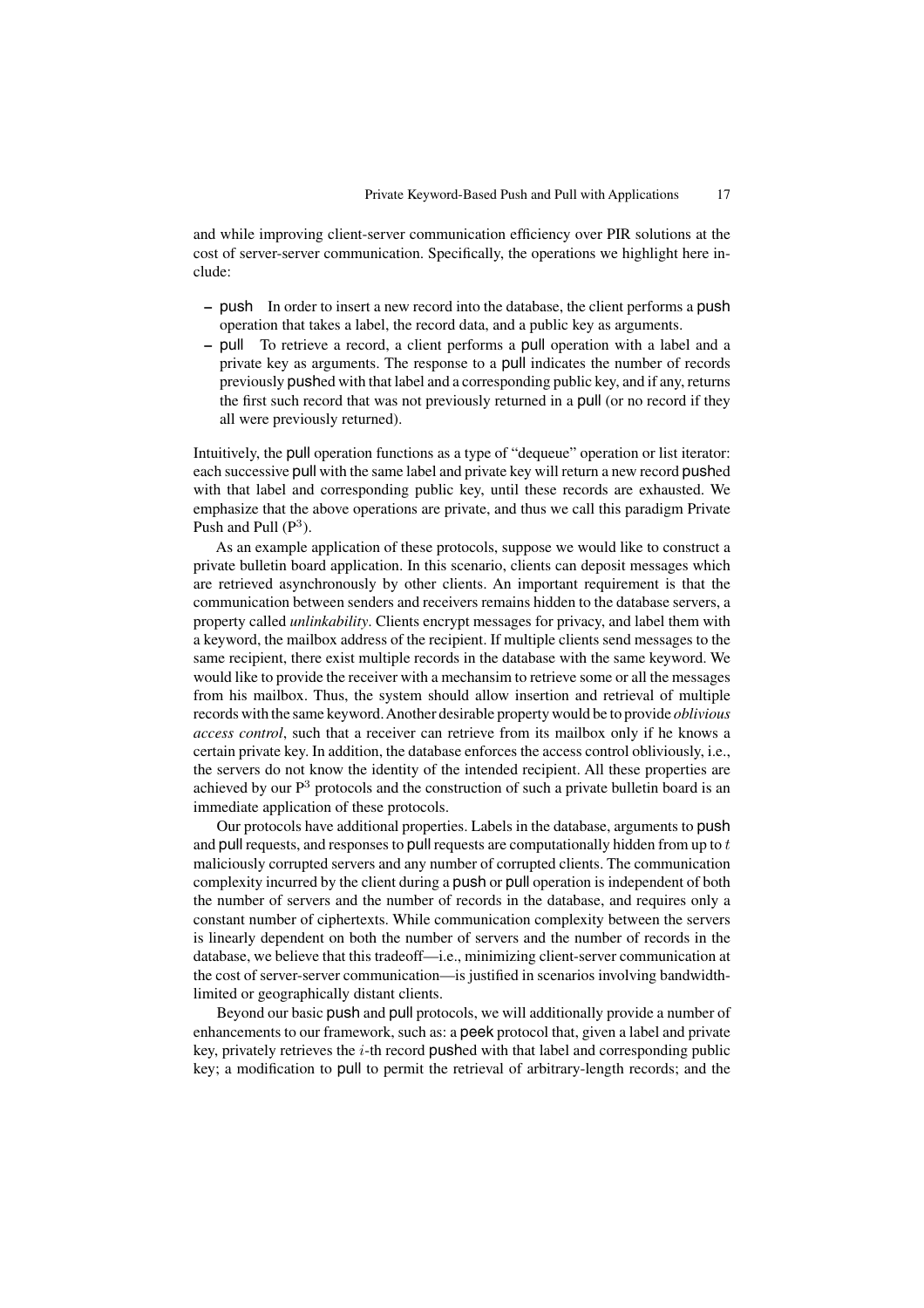and while improving client-server communication efficiency over PIR solutions at the cost of server-server communication. Specifically, the operations we highlight here include:

- **–** push In order to insert a new record into the database, the client performs a push operation that takes a label, the record data, and a public key as arguments.
- **–** pull To retrieve a record, a client performs a pull operation with a label and a private key as arguments. The response to a pull indicates the number of records previously pushed with that label and a corresponding public key, and if any, returns the first such record that was not previously returned in a pull (or no record if they all were previously returned).

Intuitively, the pull operation functions as a type of "dequeue" operation or list iterator: each successive pull with the same label and private key will return a new record pushed with that label and corresponding public key, until these records are exhausted. We emphasize that the above operations are private, and thus we call this paradigm Private Push and Pull  $(P^3)$ .

As an example application of these protocols, suppose we would like to construct a private bulletin board application. In this scenario, clients can deposit messages which are retrieved asynchronously by other clients. An important requirement is that the communication between senders and receivers remains hidden to the database servers, a property called *unlinkability*. Clients encrypt messages for privacy, and label them with a keyword, the mailbox address of the recipient. If multiple clients send messages to the same recipient, there exist multiple records in the database with the same keyword. We would like to provide the receiver with a mechansim to retrieve some or all the messages from his mailbox. Thus, the system should allow insertion and retrieval of multiple records with the same keyword.Another desirable property would be to provide *oblivious access control*, such that a receiver can retrieve from its mailbox only if he knows a certain private key. In addition, the database enforces the access control obliviously, i.e., the servers do not know the identity of the intended recipient. All these properties are achieved by our  $P<sup>3</sup>$  protocols and the construction of such a private bulletin board is an immediate application of these protocols.

Our protocols have additional properties. Labels in the database, arguments to push and pull requests, and responses to pull requests are computationally hidden from up to  $t$ maliciously corrupted servers and any number of corrupted clients. The communication complexity incurred by the client during a push or pull operation is independent of both the number of servers and the number of records in the database, and requires only a constant number of ciphertexts. While communication complexity between the servers is linearly dependent on both the number of servers and the number of records in the database, we believe that this tradeoff—i.e., minimizing client-server communication at the cost of server-server communication—is justified in scenarios involving bandwidthlimited or geographically distant clients.

Beyond our basic push and pull protocols, we will additionally provide a number of enhancements to our framework, such as: a peek protocol that, given a label and private key, privately retrieves the  $i$ -th record pushed with that label and corresponding public key; a modification to pull to permit the retrieval of arbitrary-length records; and the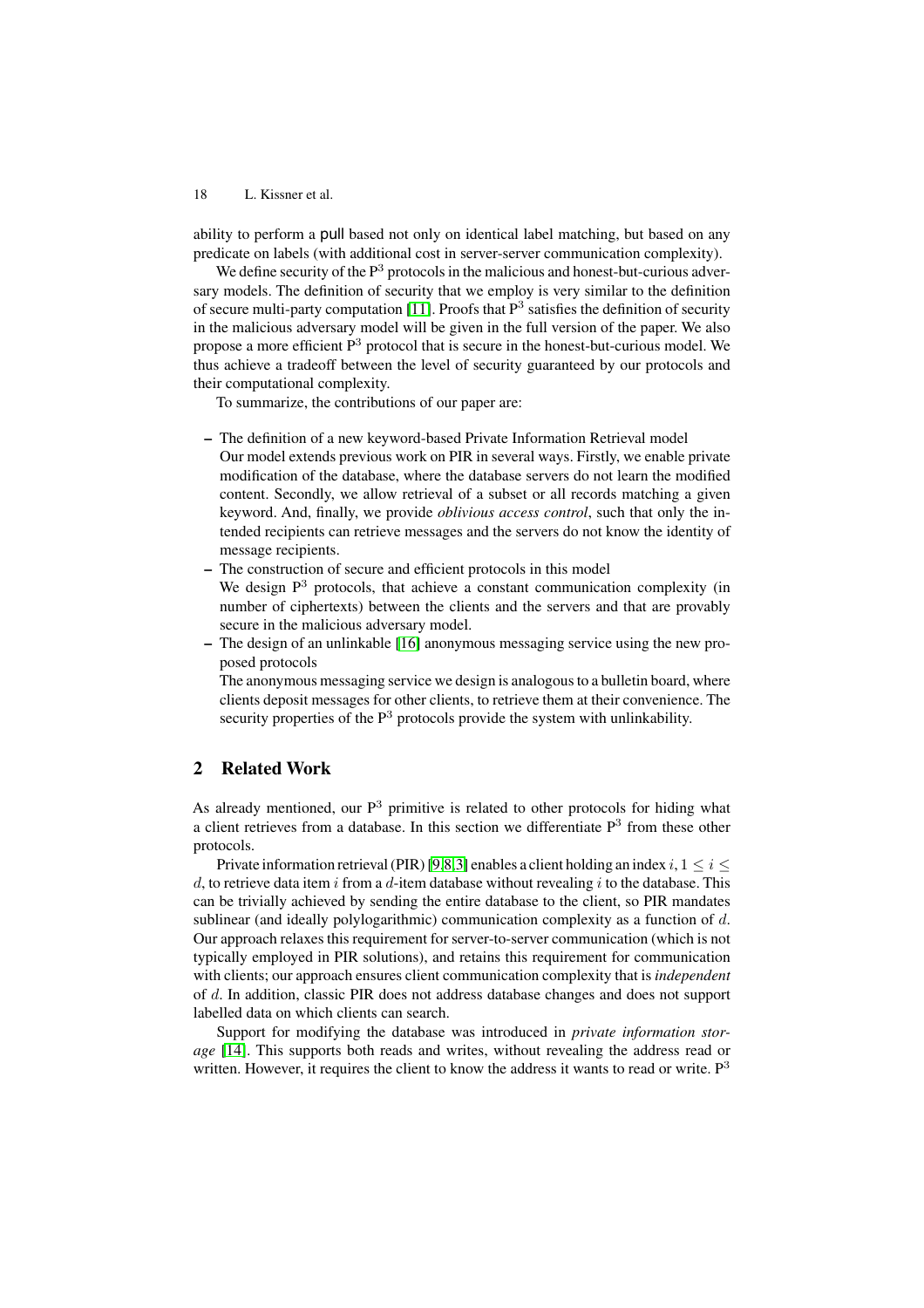ability to perform a pull based not only on identical label matching, but based on any predicate on labels (with additional cost in server-server communication complexity).

We define security of the P<sup>3</sup> protocols in the malicious and honest-but-curious adversary models. The definition of security that we employ is very similar to the definition of secure multi-party computation [\[11\]](#page-14-0). Proofs that  $P<sup>3</sup>$  satisfies the definition of security in the malicious adversary model will be given in the full version of the paper. We also propose a more efficient  $P<sup>3</sup>$  protocol that is secure in the honest-but-curious model. We thus achieve a tradeoff between the level of security guaranteed by our protocols and their computational complexity.

To summarize, the contributions of our paper are:

- **–** The definition of a new keyword-based Private Information Retrieval model Our model extends previous work on PIR in several ways. Firstly, we enable private modification of the database, where the database servers do not learn the modified content. Secondly, we allow retrieval of a subset or all records matching a given keyword. And, finally, we provide *oblivious access control*, such that only the intended recipients can retrieve messages and the servers do not know the identity of message recipients.
- **–** The construction of secure and efficient protocols in this model We design  $P<sup>3</sup>$  protocols, that achieve a constant communication complexity (in number of ciphertexts) between the clients and the servers and that are provably secure in the malicious adversary model.
- **–** The design of an unlinkable [\[16\]](#page-14-0) anonymous messaging service using the new proposed protocols

The anonymous messaging service we design is analogous to a bulletin board, where clients deposit messages for other clients, to retrieve them at their convenience. The security properties of the  $P<sup>3</sup>$  protocols provide the system with unlinkability.

## **2 Related Work**

As already mentioned, our  $P<sup>3</sup>$  primitive is related to other protocols for hiding what a client retrieves from a database. In this section we differentiate  $P<sup>3</sup>$  from these other protocols.

Private information retrieval (PIR) [\[9,8,3\]](#page-14-0) enables a client holding an index  $i, 1 \leq i \leq$  $d$ , to retrieve data item i from a  $d$ -item database without revealing i to the database. This can be trivially achieved by sending the entire database to the client, so PIR mandates sublinear (and ideally polylogarithmic) communication complexity as a function of d. Our approach relaxes this requirement for server-to-server communication (which is not typically employed in PIR solutions), and retains this requirement for communication with clients; our approach ensures client communication complexity that is *independent* of d. In addition, classic PIR does not address database changes and does not support labelled data on which clients can search.

Support for modifying the database was introduced in *private information storage* [\[14\]](#page-14-0). This supports both reads and writes, without revealing the address read or written. However, it requires the client to know the address it wants to read or write. P<sup>3</sup>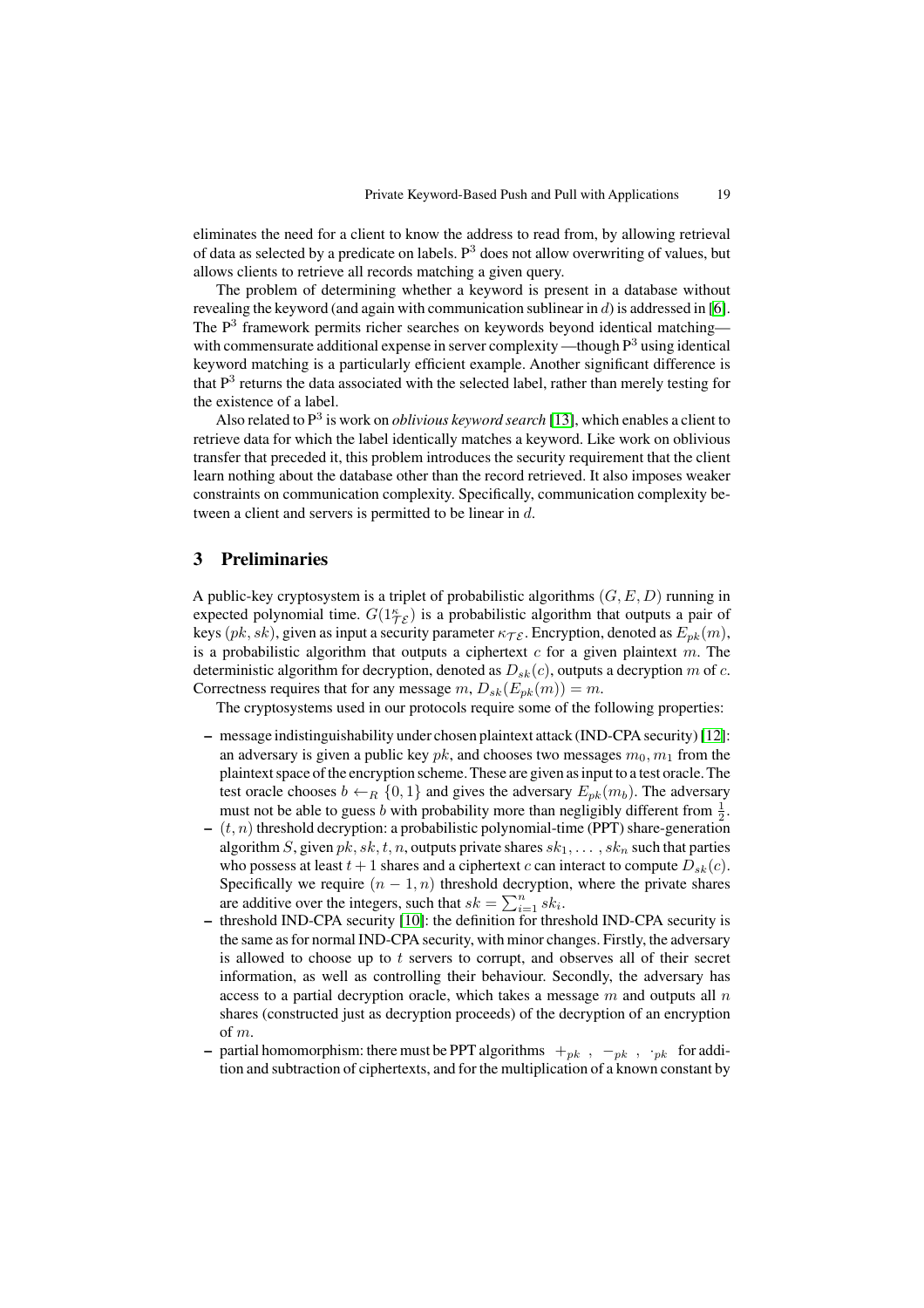eliminates the need for a client to know the address to read from, by allowing retrieval of data as selected by a predicate on labels.  $P<sup>3</sup>$  does not allow overwriting of values, but allows clients to retrieve all records matching a given query.

The problem of determining whether a keyword is present in a database without revealing the keyword (and again with communication sublinear in d) is addressed in [\[6\]](#page-14-0). The P<sup>3</sup> framework permits richer searches on keywords beyond identical matching with commensurate additional expense in server complexity —though  $P<sup>3</sup>$  using identical keyword matching is a particularly efficient example. Another significant difference is that  $P<sup>3</sup>$  returns the data associated with the selected label, rather than merely testing for the existence of a label.

Also related to  $P<sup>3</sup>$  is work on *oblivious keyword search* [\[13\]](#page-14-0), which enables a client to retrieve data for which the label identically matches a keyword. Like work on oblivious transfer that preceded it, this problem introduces the security requirement that the client learn nothing about the database other than the record retrieved. It also imposes weaker constraints on communication complexity. Specifically, communication complexity between a client and servers is permitted to be linear in d.

## **3 Preliminaries**

A public-key cryptosystem is a triplet of probabilistic algorithms  $(G, E, D)$  running in expected polynomial time.  $G(1\frac{\kappa}{f\epsilon})$  is a probabilistic algorithm that outputs a pair of keys ( $pk, sk$ ), given as input a security parameter  $\kappa_{\mathcal{TE}}$ . Encryption, denoted as  $E_{pk}(m)$ , is a probabilistic algorithm that outputs a ciphertext  $c$  for a given plaintext  $m$ . The deterministic algorithm for decryption, denoted as  $D_{sk}(c)$ , outputs a decryption m of c. Correctness requires that for any message  $m, D_{sk}(E_{pk}(m)) = m$ .

The cryptosystems used in our protocols require some of the following properties:

- **–** message indistinguishability under chosen plaintext attack (IND-CPA security) [\[12\]](#page-14-0): an adversary is given a public key  $pk$ , and chooses two messages  $m_0, m_1$  from the plaintext space of the encryption scheme. These are given as input to a test oracle. The test oracle chooses  $b \leftarrow_R \{0, 1\}$  and gives the adversary  $E_{nk}(m_b)$ . The adversary must not be able to guess b with probability more than negligibly different from  $\frac{1}{2}$ .
- **–** (t, n) threshold decryption: a probabilistic polynomial-time (PPT) share-generation algorithm S, given  $pk, sk, t, n$ , outputs private shares  $sk_1, \ldots, sk_n$  such that parties who possess at least  $t + 1$  shares and a ciphertext c can interact to compute  $D_{sk}(c)$ . Specifically we require  $(n - 1, n)$  threshold decryption, where the private shares are additive over the integers, such that  $sk = \sum_{i=1}^{n} sk_i$ .
- **–** threshold IND-CPA security [\[10\]](#page-14-0): the definition for threshold IND-CPA security is the same as for normal IND-CPA security, with minor changes. Firstly, the adversary is allowed to choose up to  $t$  servers to corrupt, and observes all of their secret information, as well as controlling their behaviour. Secondly, the adversary has access to a partial decryption oracle, which takes a message  $m$  and outputs all  $n$ shares (constructed just as decryption proceeds) of the decryption of an encryption of m.
- **–** partial homomorphism: there must be PPT algorithms +<sub>pk</sub>, −<sub>pk</sub>, ·<sub>pk</sub> for addition and subtraction of ciphertexts, and for the multiplication of a known constant by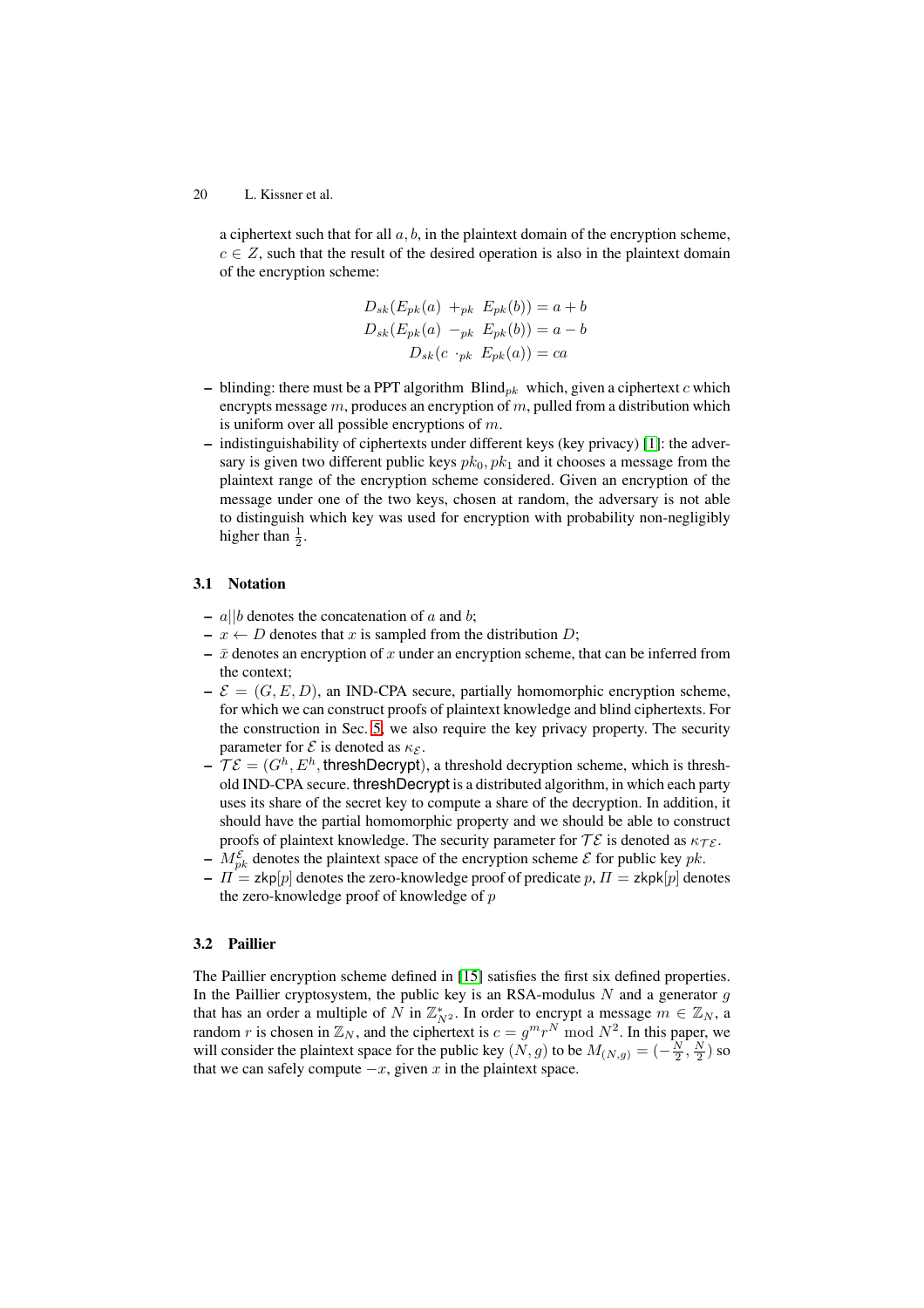a ciphertext such that for all  $a, b$ , in the plaintext domain of the encryption scheme,  $c \in Z$ , such that the result of the desired operation is also in the plaintext domain of the encryption scheme:

$$
D_{sk}(E_{pk}(a) +_{pk} E_{pk}(b)) = a + b
$$
  
\n
$$
D_{sk}(E_{pk}(a) -_{pk} E_{pk}(b)) = a - b
$$
  
\n
$$
D_{sk}(c \cdot_{pk} E_{pk}(a)) = ca
$$

- blinding: there must be a PPT algorithm  $\text{Blind}_{pk}$  which, given a ciphertext c which encrypts message  $m$ , produces an encryption of  $m$ , pulled from a distribution which is uniform over all possible encryptions of  $m$ .
- **–** indistinguishability of ciphertexts under different keys (key privacy) [\[1\]](#page-13-0): the adversary is given two different public keys  $pk_0$ ,  $pk_1$  and it chooses a message from the plaintext range of the encryption scheme considered. Given an encryption of the message under one of the two keys, chosen at random, the adversary is not able to distinguish which key was used for encryption with probability non-negligibly higher than  $\frac{1}{2}$ .

## **3.1 Notation**

- **–** a||b denotes the concatenation of a and b;
- $\mathbf{I} x \leftarrow D$  denotes that x is sampled from the distribution D;
- $\bar{x}$  denotes an encryption of x under an encryption scheme, that can be inferred from the context;
- $\mathcal{E} = (G, E, D)$ , an IND-CPA secure, partially homomorphic encryption scheme, for which we can construct proofs of plaintext knowledge and blind ciphertexts. For the construction in Sec. [5,](#page-12-0) we also require the key privacy property. The security parameter for  $\mathcal E$  is denoted as  $\kappa_{\mathcal E}$ .
- $\mathcal{TE} = (G^h, E^h, \text{threshold}^h)$ , a threshold decryption scheme, which is threshold IND-CPA secure. threshDecrypt is a distributed algorithm, in which each party uses its share of the secret key to compute a share of the decryption. In addition, it should have the partial homomorphic property and we should be able to construct proofs of plaintext knowledge. The security parameter for  $\mathcal{TE}$  is denoted as  $\kappa_{\mathcal{TE}}$ .
- $M_{pk}^{\varepsilon}$  denotes the plaintext space of the encryption scheme  $\varepsilon$  for public key pk.
- **–**  $\Pi$  = zkp[p] denotes the zero-knowledge proof of predicate p,  $\Pi$  = zkpk[p] denotes the zero-knowledge proof of knowledge of  $p$

## **3.2 Paillier**

The Paillier encryption scheme defined in [\[15\]](#page-14-0) satisfies the first six defined properties. In the Paillier cryptosystem, the public key is an RSA-modulus  $N$  and a generator  $q$ that has an order a multiple of N in  $\mathbb{Z}_{N^2}^*$ . In order to encrypt a message  $m \in \mathbb{Z}_N$ , a random r is chosen in  $\mathbb{Z}_N$ , and the ciphertext is  $c = g^m r^N \mod N^2$ . In this paper, we will consider the plaintext space for the public key  $(N, g)$  to be  $M_{(N,g)} = (-\frac{N}{2}, \frac{N}{2})$  so that we can safely compute  $-x$ , given x in the plaintext space.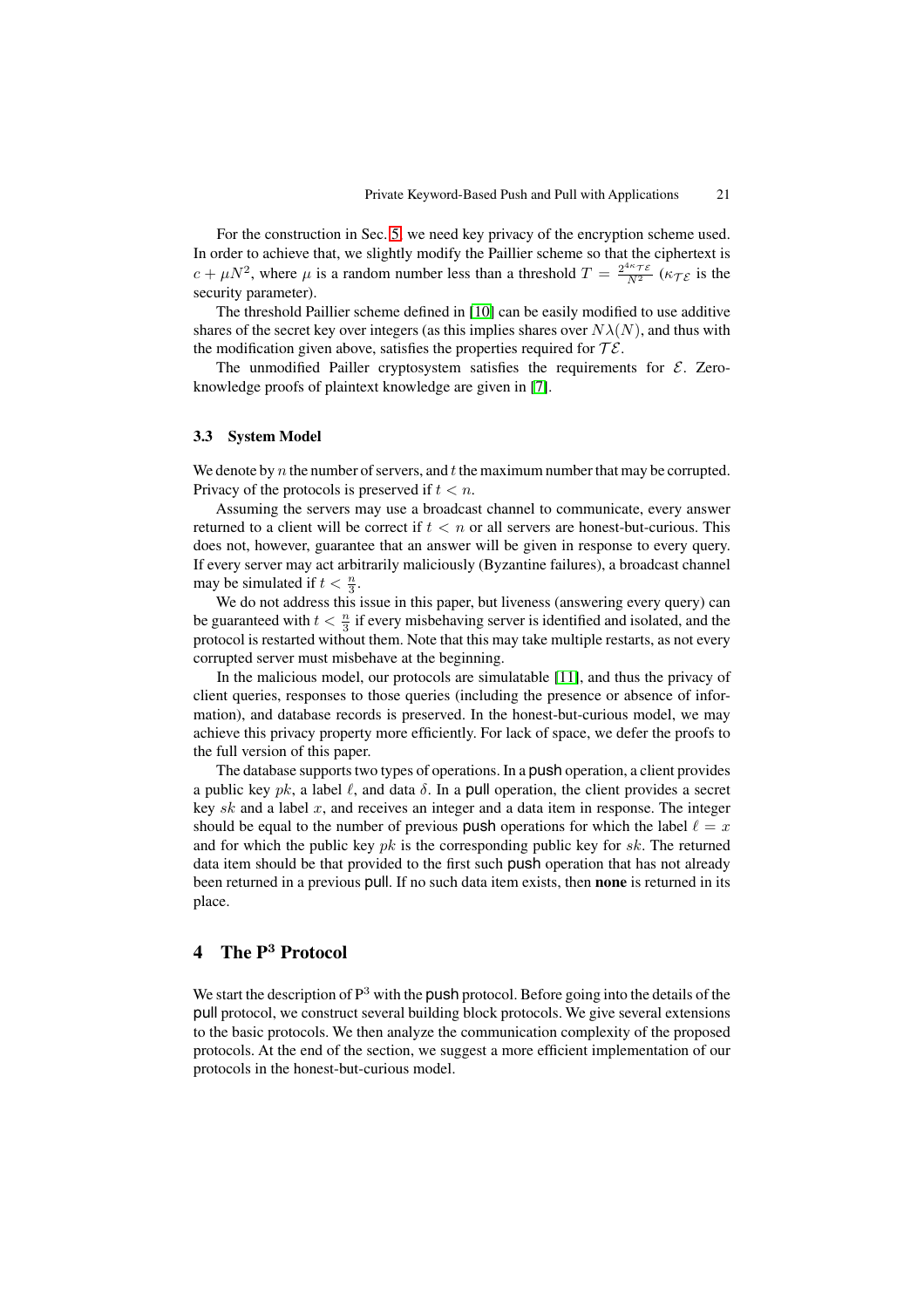For the construction in Sec. [5,](#page-12-0) we need key privacy of the encryption scheme used. In order to achieve that, we slightly modify the Paillier scheme so that the ciphertext is  $c + \mu N^2$ , where  $\mu$  is a random number less than a threshold  $T = \frac{2^{4\kappa} \tau \varepsilon}{N^2}$  ( $\kappa \tau \varepsilon$  is the security parameter).

The threshold Paillier scheme defined in [\[10\]](#page-14-0) can be easily modified to use additive shares of the secret key over integers (as this implies shares over  $N\lambda(N)$ , and thus with the modification given above, satisfies the properties required for  $\mathcal{TE}$ .

The unmodified Pailler cryptosystem satisfies the requirements for  $\mathcal{E}$ . Zeroknowledge proofs of plaintext knowledge are given in [\[7\]](#page-14-0).

#### **3.3 System Model**

We denote by  $n$  the number of servers, and  $t$  the maximum number that may be corrupted. Privacy of the protocols is preserved if  $t < n$ .

Assuming the servers may use a broadcast channel to communicate, every answer returned to a client will be correct if  $t < n$  or all servers are honest-but-curious. This does not, however, guarantee that an answer will be given in response to every query. If every server may act arbitrarily maliciously (Byzantine failures), a broadcast channel may be simulated if  $t < \frac{n}{3}$ .

We do not address this issue in this paper, but liveness (answering every query) can be guaranteed with  $t < \frac{n}{3}$  if every misbehaving server is identified and isolated, and the protocol is restarted without them. Note that this may take multiple restarts, as not every corrupted server must misbehave at the beginning.

In the malicious model, our protocols are simulatable [\[11\]](#page-14-0), and thus the privacy of client queries, responses to those queries (including the presence or absence of information), and database records is preserved. In the honest-but-curious model, we may achieve this privacy property more efficiently. For lack of space, we defer the proofs to the full version of this paper.

The database supports two types of operations. In a push operation, a client provides a public key pk, a label  $\ell$ , and data  $\delta$ . In a pull operation, the client provides a secret key  $sk$  and a label  $x$ , and receives an integer and a data item in response. The integer should be equal to the number of previous push operations for which the label  $\ell = x$ and for which the public key  $pk$  is the corresponding public key for  $sk$ . The returned data item should be that provided to the first such push operation that has not already been returned in a previous pull. If no such data item exists, then **none** is returned in its place.

## **4 The P<sup>3</sup> Protocol**

We start the description of  $P<sup>3</sup>$  with the push protocol. Before going into the details of the pull protocol, we construct several building block protocols. We give several extensions to the basic protocols. We then analyze the communication complexity of the proposed protocols. At the end of the section, we suggest a more efficient implementation of our protocols in the honest-but-curious model.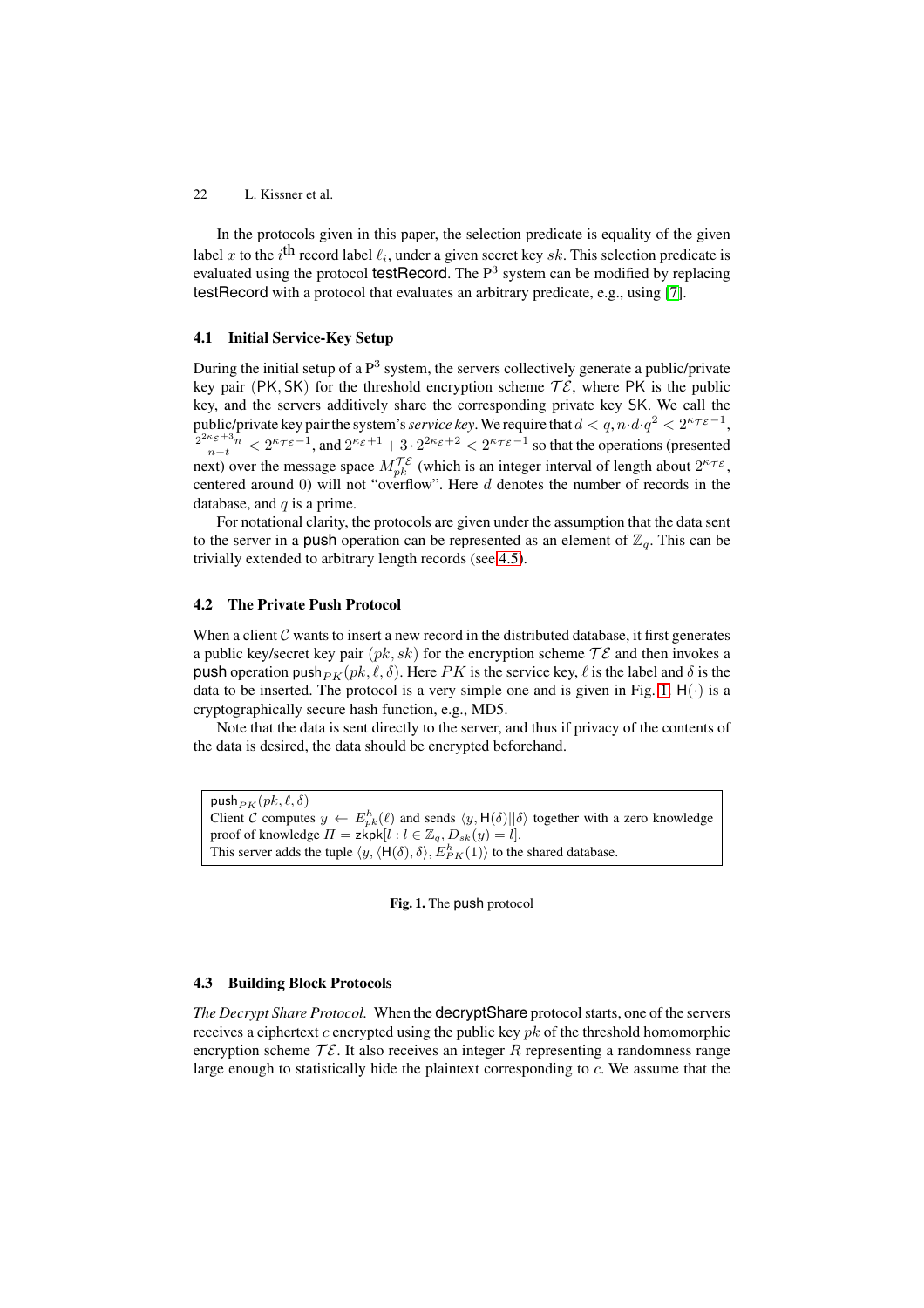In the protocols given in this paper, the selection predicate is equality of the given label x to the i<sup>th</sup> record label  $\ell_i$ , under a given secret key sk. This selection predicate is evaluated using the protocol testRecord. The  $P<sup>3</sup>$  system can be modified by replacing testRecord with a protocol that evaluates an arbitrary predicate, e.g., using [\[7\]](#page-14-0).

#### **4.1 Initial Service-Key Setup**

During the initial setup of a  $P<sup>3</sup>$  system, the servers collectively generate a public/private key pair (PK, SK) for the threshold encryption scheme  $\mathcal{TE}$ , where PK is the public key, and the servers additively share the corresponding private key SK. We call the public/private key pair the system's *service key*. We require that  $d < q, n \cdot d \cdot q^2 < 2^{\kappa \tau \varepsilon - 1}$ ,  $\frac{2^{2\kappa_{\mathcal{E}}+3}n}{n-t} < 2^{\kappa_{\mathcal{T}\mathcal{E}}-1}$ , and  $2^{\kappa_{\mathcal{E}}+1}+3\cdot 2^{2\kappa_{\mathcal{E}}+2} < 2^{\kappa_{\mathcal{T}\mathcal{E}}-1}$  so that the operations (presented next) over the message space  $M_{pk}^{\mathcal{TE}}$  (which is an integer interval of length about  $2^{\kappa_{\mathcal{TE}}}$ , centered around 0) will not "overflow". Here  $d$  denotes the number of records in the database, and  $q$  is a prime.

For notational clarity, the protocols are given under the assumption that the data sent to the server in a **push** operation can be represented as an element of  $\mathbb{Z}_q$ . This can be trivially extended to arbitrary length records (see [4.5\)](#page-10-0).

#### **4.2 The Private Push Protocol**

When a client  $\mathcal C$  wants to insert a new record in the distributed database, it first generates a public key/secret key pair  $(pk, sk)$  for the encryption scheme  $\mathcal{TE}$  and then invokes a push operation push  $_{PK}(pk, \ell, \delta)$ . Here PK is the service key,  $\ell$  is the label and  $\delta$  is the data to be inserted. The protocol is a very simple one and is given in Fig. 1.  $H(\cdot)$  is a cryptographically secure hash function, e.g., MD5.

Note that the data is sent directly to the server, and thus if privacy of the contents of the data is desired, the data should be encrypted beforehand.

push  $_{PK}(pk, \ell, \delta)$ Client C computes  $y \leftarrow E_{pk}^{h}(\ell)$  and sends  $\langle y, H(\delta) || \delta \rangle$  together with a zero knowledge proof of knowledge  $\Pi = \mathsf{zkpk}[l : l \in \mathbb{Z}_q, D_{sk}(y) = l].$ This server adds the tuple  $\langle y, \langle \mathbf{H}(\delta), \delta \rangle$ ,  $E_{PK}^{h}(1)$  to the shared database.

| Fig. 1. The push protocol |  |  |
|---------------------------|--|--|
|---------------------------|--|--|

#### **4.3 Building Block Protocols**

*The Decrypt Share Protocol.* When the decryptShare protocol starts, one of the servers receives a ciphertext c encrypted using the public key  $pk$  of the threshold homomorphic encryption scheme  $\mathcal{TE}$ . It also receives an integer R representing a randomness range large enough to statistically hide the plaintext corresponding to c. We assume that the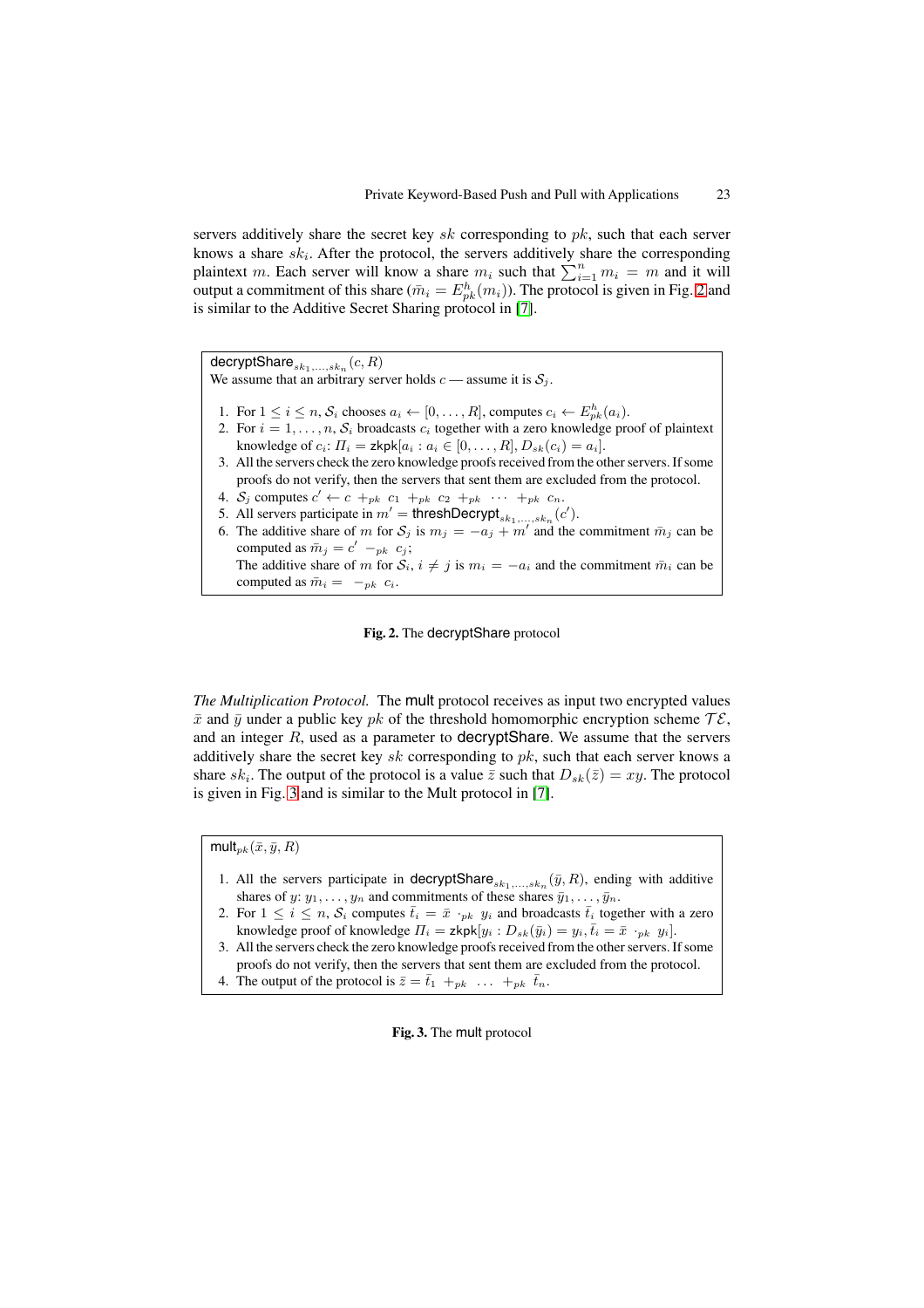servers additively share the secret key sk corresponding to  $pk$ , such that each server knows a share  $sk_i$ . After the protocol, the servers additively share the corresponding plaintext m. Each server will know a share  $m_i$  such that  $\sum_{i=1}^n m_i = m$  and it will output a commitment of this share  $(\bar{m}_i = E_{pk}^h(m_i))$ . The protocol is given in Fig. 2 and is similar to the Additive Secret Sharing protocol in [\[7\]](#page-14-0).

decryptShare $s_{sk_1,...,sk_n}(c, R)$ We assume that an arbitrary server holds  $c$  — assume it is  $S_j$ .

- 1. For  $1 \leq i \leq n$ ,  $S_i$  chooses  $a_i \leftarrow [0, \ldots, R]$ , computes  $c_i \leftarrow E_{pk}^h(a_i)$ .
- 2. For  $i = 1, \ldots, n$ ,  $S_i$  broadcasts  $c_i$  together with a zero knowledge proof of plaintext knowledge of  $c_i$ :  $\Pi_i = \mathsf{zkbk}[a_i : a_i \in [0, \ldots, R], D_{sk}(c_i) = a_i].$
- 3. All the servers check the zero knowledge proofs received from the other servers. If some proofs do not verify, then the servers that sent them are excluded from the protocol.
- 4.  $S_j$  computes  $c' \leftarrow c +_{pk} c_1 +_{pk} c_2 +_{pk} \cdots +_{pk} c_n$ .
- 5. All servers participate in  $m' =$  threshDecrypt<sub>sk1,...,skn</sub> (c').
- 6. The additive share of m for  $S_j$  is  $m_j = -a_j + m'$  and the commitment  $\bar{m}_j$  can be computed as  $\bar{m}_j = c' -p_k c_j$ ; The additive share of m for  $S_i$ ,  $i \neq j$  is  $m_i = -a_i$  and the commitment  $\bar{m}_i$  can be computed as  $\bar{m}_i = -p_k$  c<sub>i</sub>.

**Fig. 2.** The decryptShare protocol

*The Multiplication Protocol.* The mult protocol receives as input two encrypted values  $\bar{x}$  and  $\bar{y}$  under a public key pk of the threshold homomorphic encryption scheme  $\mathcal{TE}$ , and an integer  $R$ , used as a parameter to **decryptShare**. We assume that the servers additively share the secret key  $sk$  corresponding to  $pk$ , such that each server knows a share sk<sub>i</sub>. The output of the protocol is a value  $\overline{z}$  such that  $D_{sk}(\overline{z}) = xy$ . The protocol is given in Fig. 3 and is similar to the Mult protocol in [\[7\]](#page-14-0).

mult<sub>pk</sub> $(\bar{x}, \bar{y}, R)$ 

- 1. All the servers participate in decrypt Share  $s_{k_1,...,k_n}(\bar{y}, R)$ , ending with additive shares of  $y: y_1, \ldots, y_n$  and commitments of these shares  $\bar{y}_1, \ldots, \bar{y}_n$ .
- 2. For  $1 \leq i \leq n$ ,  $S_i$  computes  $\bar{t}_i = \bar{x} \cdot_{pk} y_i$  and broadcasts  $\bar{t}_i$  together with a zero knowledge proof of knowledge  $\Pi_i = \mathsf{zkpk}[y_i : D_{sk}(\bar{y}_i) = y_i, \bar{t}_i = \bar{x} \cdot_{pk} y_i].$
- 3. All the servers check the zero knowledge proofs received from the other servers. If some proofs do not verify, then the servers that sent them are excluded from the protocol.
- 4. The output of the protocol is  $\bar{z} = \bar{t}_1 +_{pk} \dots +_{pk} \bar{t}_n$ .

**Fig. 3.** The mult protocol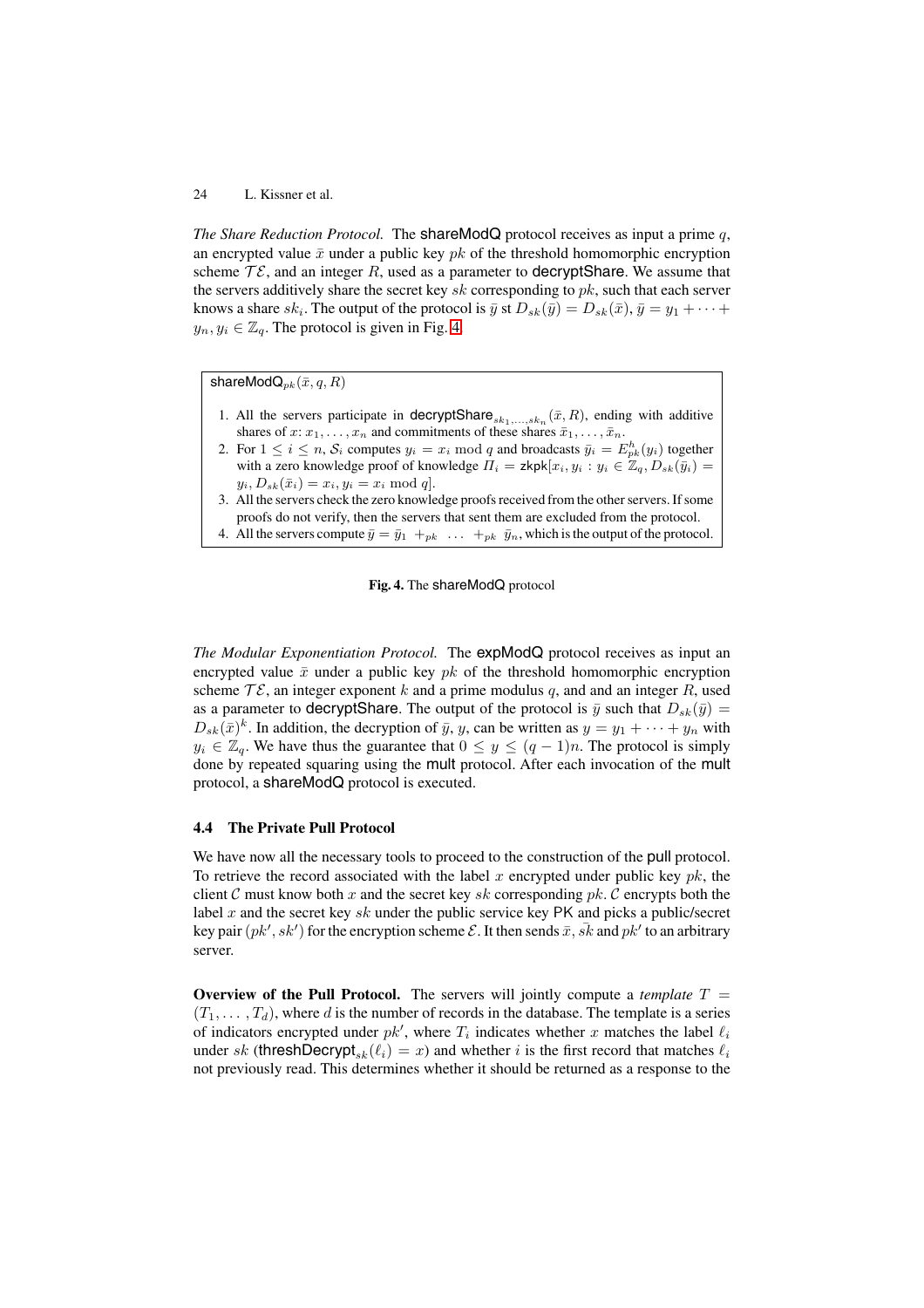<span id="page-8-0"></span>*The Share Reduction Protocol.* The shareModQ protocol receives as input a prime q, an encrypted value  $\bar{x}$  under a public key  $pk$  of the threshold homomorphic encryption scheme  $\mathcal{TE}$ , and an integer R, used as a parameter to **decryptShare**. We assume that the servers additively share the secret key  $sk$  corresponding to  $pk$ , such that each server knows a share  $sk_i$ . The output of the protocol is  $\bar{y}$  st  $D_{sk}(\bar{y}) = D_{sk}(\bar{x}), \bar{y} = y_1 + \cdots$  $y_n, y_i \in \mathbb{Z}_q$ . The protocol is given in Fig. 4.

shareMod $Q_{pk}(\bar{x}, q, R)$ 

- 1. All the servers participate in decryptShare  $s_{k_1,...,k_n}(\bar{x}, R)$ , ending with additive shares of  $x: x_1, \ldots, x_n$  and commitments of these shares  $\bar{x}_1, \ldots, \bar{x}_n$ .
- 2. For  $1 \le i \le n$ ,  $S_i$  computes  $y_i = x_i \mod q$  and broadcasts  $\bar{y}_i = E_{pk}^h(y_i)$  together with a zero knowledge proof of knowledge  $\Pi_i = \mathsf{zkbk}[x_i, y_i : y_i \in \mathbb{Z}_q, D_{sk}(\bar{y}_i) =$  $y_i, D_{sk}(\bar{x}_i) = x_i, y_i = x_i \mod q$ .
- 3. All the servers check the zero knowledge proofs received from the other servers. If some proofs do not verify, then the servers that sent them are excluded from the protocol.
- 4. All the servers compute  $\bar{y} = \bar{y}_1 +_{pk} \dots +_{pk} \bar{y}_n$ , which is the output of the protocol.



*The Modular Exponentiation Protocol.* The expModQ protocol receives as input an encrypted value  $\bar{x}$  under a public key pk of the threshold homomorphic encryption scheme  $\mathcal{TE}$ , an integer exponent k and a prime modulus q, and and an integer R, used as a parameter to **decryptShare**. The output of the protocol is  $\bar{y}$  such that  $D_{sk}(\bar{y}) =$  $D_{sk}(\bar{x})^k$ . In addition, the decryption of  $\bar{y}$ , y, can be written as  $y = y_1 + \cdots + y_n$  with  $y_i \in \mathbb{Z}_q$ . We have thus the guarantee that  $0 \leq y \leq (q-1)n$ . The protocol is simply done by repeated squaring using the mult protocol. After each invocation of the mult protocol, a shareModQ protocol is executed.

#### **4.4 The Private Pull Protocol**

We have now all the necessary tools to proceed to the construction of the pull protocol. To retrieve the record associated with the label x encrypted under public key  $pk$ , the client C must know both x and the secret key sk corresponding  $pk$ . C encrypts both the label  $x$  and the secret key  $sk$  under the public service key PK and picks a public/secret key pair  $(pk', sk')$  for the encryption scheme  $\mathcal{E}$ . It then sends  $\bar{x}$ ,  $\bar{sk}$  and  $pk'$  to an arbitrary server.

**Overview of the Pull Protocol.** The servers will jointly compute a *template*  $T =$  $(T_1,\ldots,T_d)$ , where d is the number of records in the database. The template is a series of indicators encrypted under  $pk'$ , where  $T_i$  indicates whether x matches the label  $\ell_i$ under sk (threshDecrypt<sub>sk</sub> $(\ell_i) = x$ ) and whether i is the first record that matches  $\ell_i$ not previously read. This determines whether it should be returned as a response to the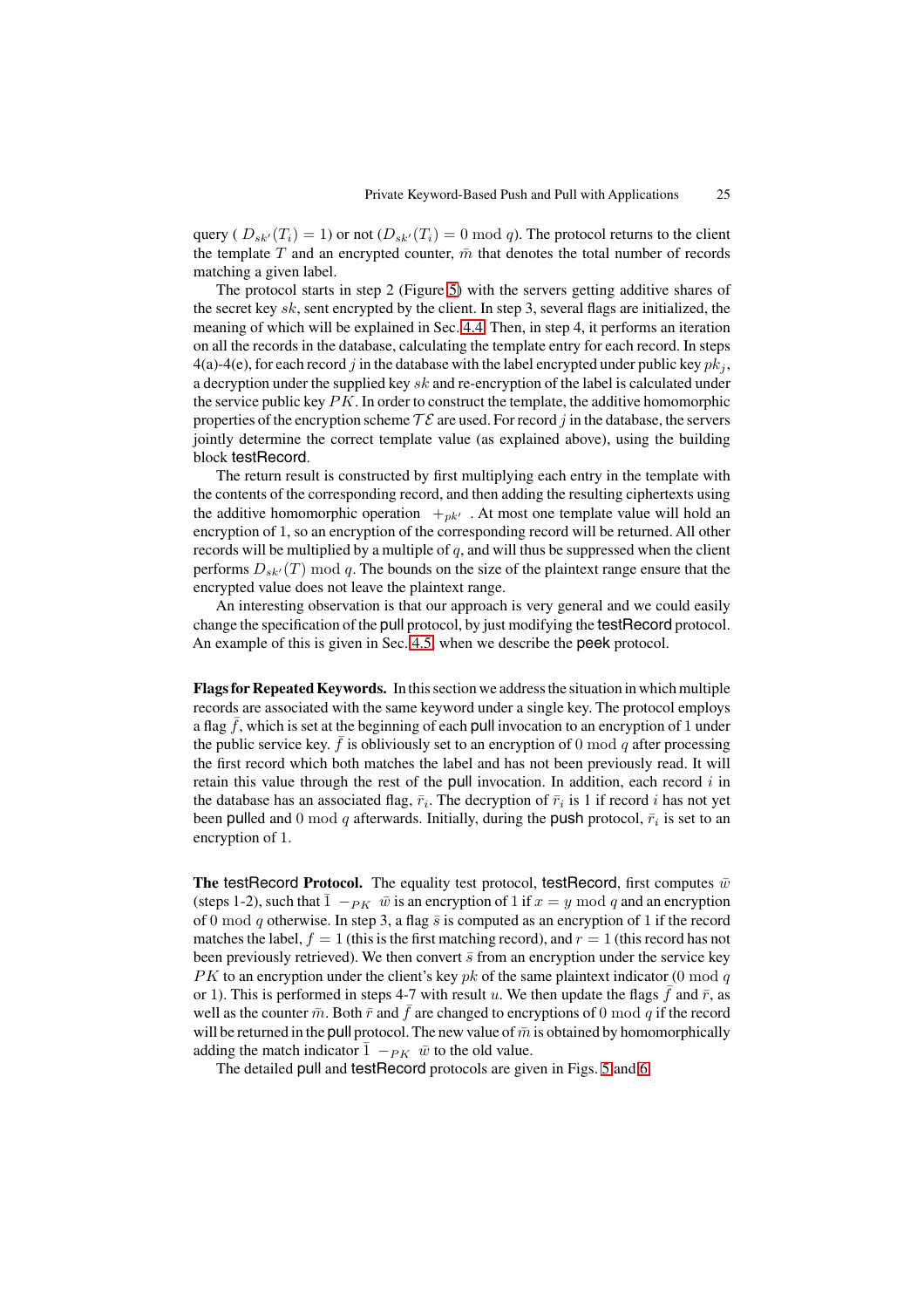query (  $D_{sk'}(T_i)=1$ ) or not ( $D_{sk'}(T_i)=0 \mod q$ ). The protocol returns to the client the template  $T$  and an encrypted counter,  $\bar{m}$  that denotes the total number of records matching a given label.

The protocol starts in step 2 (Figure [5\)](#page-10-0) with the servers getting additive shares of the secret key  $sk$ , sent encrypted by the client. In step 3, several flags are initialized, the meaning of which will be explained in Sec. [4.4.](#page-8-0) Then, in step 4, it performs an iteration on all the records in the database, calculating the template entry for each record. In steps 4(a)-4(e), for each record j in the database with the label encrypted under public key  $pk_j$ , a decryption under the supplied key sk and re-encryption of the label is calculated under the service public key  $PK$ . In order to construct the template, the additive homomorphic properties of the encryption scheme  $\mathcal{TE}$  are used. For record j in the database, the servers jointly determine the correct template value (as explained above), using the building block testRecord.

The return result is constructed by first multiplying each entry in the template with the contents of the corresponding record, and then adding the resulting ciphertexts using the additive homomorphic operation  $+_{pk'}$ . At most one template value will hold an encryption of 1, so an encryption of the corresponding record will be returned. All other records will be multiplied by a multiple of  $q$ , and will thus be suppressed when the client performs  $D_{sk'}(T)$  mod q. The bounds on the size of the plaintext range ensure that the encrypted value does not leave the plaintext range.

An interesting observation is that our approach is very general and we could easily change the specification of the pull protocol, by just modifying the testRecord protocol. An example of this is given in Sec. [4.5,](#page-10-0) when we describe the peek protocol.

**Flags for Repeated Keywords.** In this section we address the situation in which multiple records are associated with the same keyword under a single key. The protocol employs a flag  $\bar{f}$ , which is set at the beginning of each pull invocation to an encryption of 1 under the public service key.  $\bar{f}$  is obliviously set to an encryption of 0 mod q after processing the first record which both matches the label and has not been previously read. It will retain this value through the rest of the pull invocation. In addition, each record  $i$  in the database has an associated flag,  $\bar{r}_i$ . The decryption of  $\bar{r}_i$  is 1 if record *i* has not yet been pulled and 0 mod q afterwards. Initially, during the push protocol,  $\bar{r}_i$  is set to an encryption of 1.

**The testRecord Protocol.** The equality test protocol, testRecord, first computes  $\bar{w}$ (steps 1-2), such that  $\overline{1}$  – $p_K$  w $\overline{w}$  is an encryption of 1 if  $x = y \mod q$  and an encryption of 0 mod q otherwise. In step 3, a flag  $\bar{s}$  is computed as an encryption of 1 if the record matches the label,  $f = 1$  (this is the first matching record), and  $r = 1$  (this record has not been previously retrieved). We then convert  $\bar{s}$  from an encryption under the service key  $PK$  to an encryption under the client's key pk of the same plaintext indicator (0 mod q or 1). This is performed in steps 4-7 with result u. We then update the flags f and  $\bar{r}$ , as well as the counter  $\bar{m}$ . Both  $\bar{r}$  and  $\bar{f}$  are changed to encryptions of 0 mod q if the record will be returned in the pull protocol. The new value of  $\bar{m}$  is obtained by homomorphically adding the match indicator  $\overline{1} - p_K \ \overline{w}$  to the old value.

The detailed pull and testRecord protocols are given in Figs. [5](#page-10-0) and [6.](#page-11-0)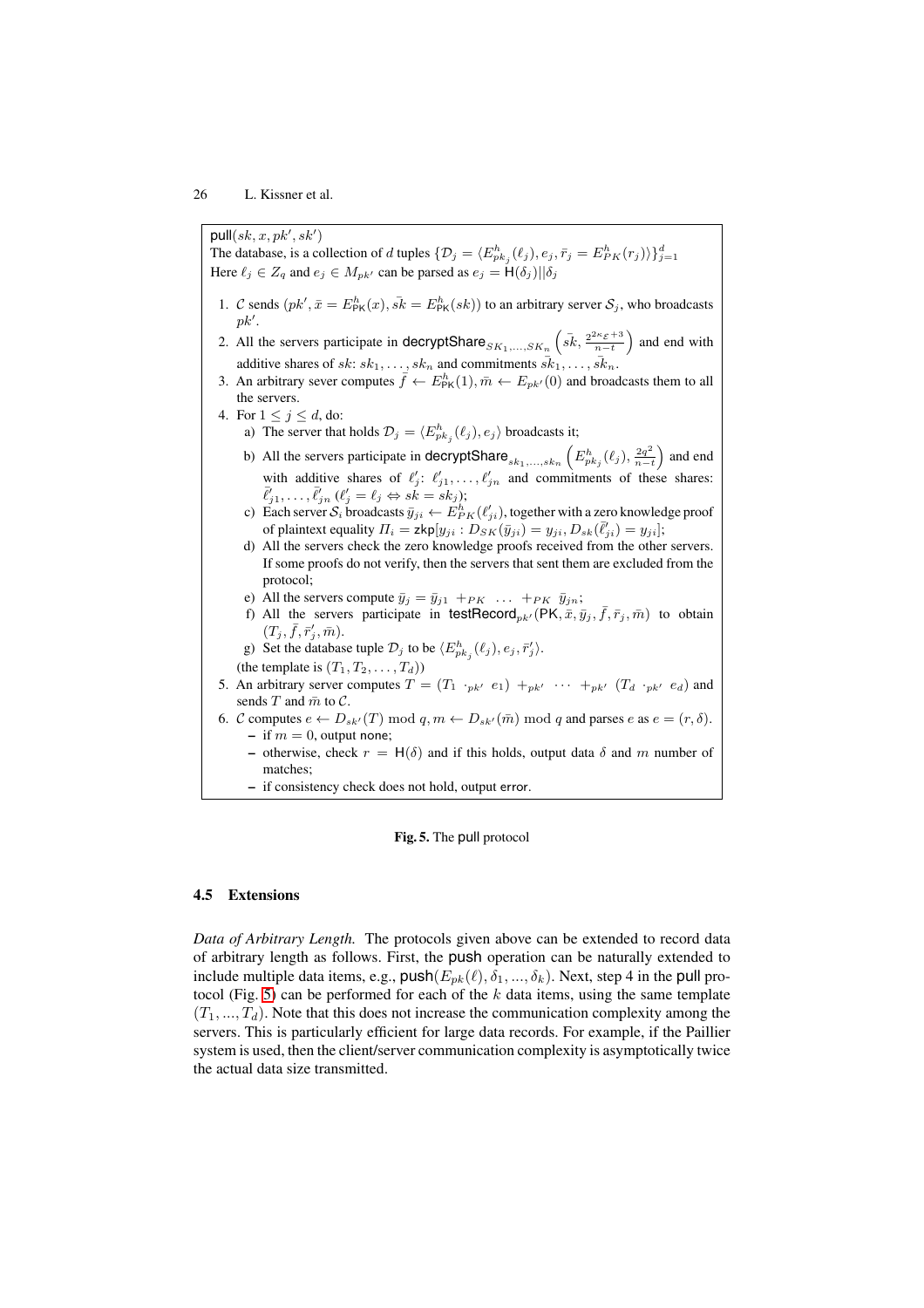<span id="page-10-0"></span> $pull(sk, x, pk', sk')$ 

The database, is a collection of d tuples  $\{D_j = \langle E_{pk_j}^h(\ell_j), e_j, \bar{r}_j = E_{PK}^h(r_j) \rangle\}_{j=1}^d$ Here  $\ell_j \in Z_q$  and  $e_j \in M_{pk'}$  can be parsed as  $e_j = H(\delta_j) || \delta_j$ 

1. C sends  $(pk', \bar{x} = E_{\text{PK}}^h(x), \bar{sk} = E_{\text{PK}}^h(sk)$  to an arbitrary server  $S_j$ , who broadcasts  $pk^{\prime}.$ 

2. All the servers participate in decryptShare  $s_{K_1,...,S_{K_n}}\left(\bar{s_k}, \frac{2^{2\kappa_{\mathcal{E}}+3}}{n-t}\right)$  and end with additive shares of sk:  $sk_1, \ldots, sk_n$  and commitments  $\bar{sk}_1, \ldots, \bar{sk}_n$ .

- 3. An arbitrary sever computes  $\bar{f} \leftarrow E_{\text{PK}}^h(1), \bar{m} \leftarrow E_{\text{pk'}}(0)$  and broadcasts them to all the servers.
- 4. For  $1 \leq j \leq d$ , do:
	- a) The server that holds  $\mathcal{D}_j = \langle E_{pk_j}^h(\ell_j), e_j \rangle$  broadcasts it;
	- b) All the servers participate in decryptShare  $k_1,...,k_n \left( E_{pk_j}^h(\ell_j), \frac{2q^2}{n-t} \right)$  and end with additive shares of  $\ell'_j: \ell'_{j1}, \ldots, \ell'_{jn}$  and commitments of these shares:  $\bar{\ell}'_{j1}, \ldots, \bar{\ell}'_{jn}$  ( $\ell'_j = \ell_j \Leftrightarrow sk = sk_j$ );  $\bar{\ell}'_{j1}, \ldots, \bar{\ell}'_{jn}$   $(\ell'_j = \ell_j \Leftrightarrow sk = sk_j);$
	- c) Each server  $S_i$  broadcasts  $\bar{y}_{ji} \leftarrow E_{PK}^h(\ell'_{ji})$ , together with a zero knowledge proof of plaintext equality  $\Pi_i = \mathsf{zkp}[y_{ji} : D_{SK}(\bar{y}_{ji}) = y_{ji}, D_{sk}(\bar{\ell}_{ji}) = y_{ji}];$
	- d) All the servers check the zero knowledge proofs received from the other servers. If some proofs do not verify, then the servers that sent them are excluded from the protocol;
	- e) All the servers compute  $\bar{y}_i = \bar{y}_{i1} + P K \dots + P K \bar{y}_{in};$
	- f) All the servers participate in testRecord<sub>pk</sub> (PK,  $\bar{x}, \bar{y}_j$ ,  $\bar{f}, \bar{r}_j$ ,  $\bar{m}$ ) to obtain  $(T_j, \bar{f}, \bar{r}'_j, \bar{m}).$
	- g) Set the database tuple  $\mathcal{D}_j$  to be  $\langle E_{pk_j}^h(\ell_j), e_j, \bar{r}_j' \rangle$ . (the template is  $(T_1, T_2, \ldots, T_d)$ )
- 5. An arbitrary server computes  $T = (T_1 \cdot_{pk} e_1) +_{pk'} \cdots +_{pk'} (T_d \cdot_{pk'} e_d)$  and sends T and  $\bar{m}$  to C.
- 6. C computes  $e \leftarrow D_{sk'}(T) \mod q, m \leftarrow D_{sk'}(\bar{m}) \mod q$  and parses  $e$  as  $e = (r, \delta)$ .
	- $-$  if  $m = 0$ , output none;
	- **–** otherwise, check  $r = H(\delta)$  and if this holds, output data  $\delta$  and m number of matches;
	- **–** if consistency check does not hold, output error.

#### **Fig. 5.** The pull protocol

#### **4.5 Extensions**

*Data of Arbitrary Length.* The protocols given above can be extended to record data of arbitrary length as follows. First, the push operation can be naturally extended to include multiple data items, e.g.,  $push(E_{pk}(\ell), \delta_1, ..., \delta_k)$ . Next, step 4 in the pull protocol (Fig. 5) can be performed for each of the  $k$  data items, using the same template  $(T_1, ..., T_d)$ . Note that this does not increase the communication complexity among the servers. This is particularly efficient for large data records. For example, if the Paillier system is used, then the client/server communication complexity is asymptotically twice the actual data size transmitted.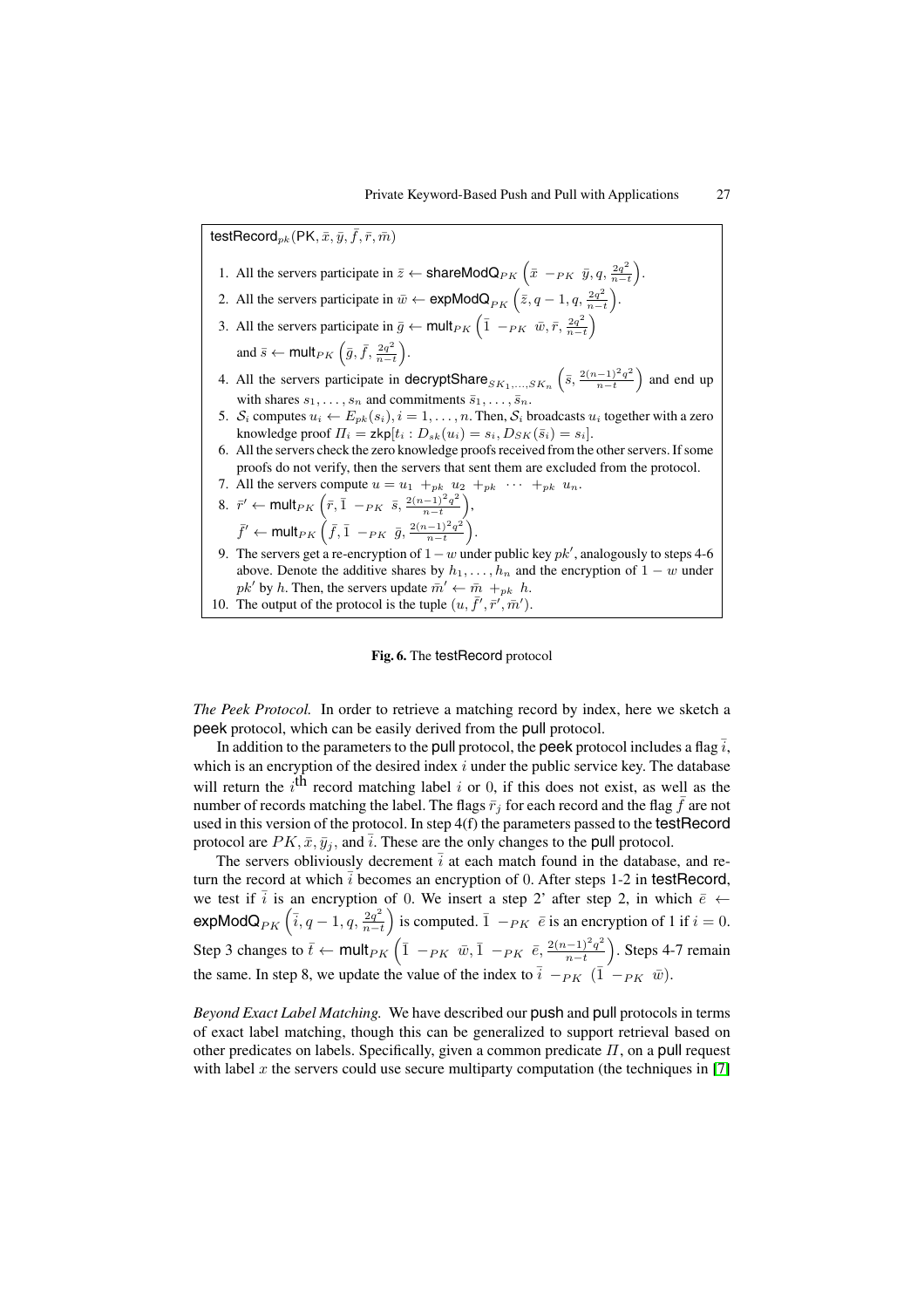<span id="page-11-0"></span>testRecord $_{pk}$ (PK,  $\bar{x}, \bar{y}, \bar{f}, \bar{r}, \bar{m}$ )

- 1. All the servers participate in  $\bar{z}$  ← shareModQ<sub>PK</sub>  $\left(\bar{x} pK \bar{y}, q, \frac{2q^2}{n-t}\right)$ .
- 2. All the servers participate in  $\bar{w} \leftarrow \expModQ_{PK} \left( \bar{z}, q-1, q, \frac{2q^2}{n-t} \right)$ .
- 3. All the servers participate in  $\bar{g} \leftarrow \text{mult}_{PK} \left( \bar{1} P_K \ \bar{w}, \bar{r}, \frac{2q^2}{n-t} \right)$ and  $\bar{s} \leftarrow \textsf{mult}_{PK} \left( \bar{g}, \bar{f}, \frac{2q^2}{n-t} \right)$ .
- 4. All the servers participate in **decryptShare**  $s_{K_1,...,S_{K_n}}\left(\bar{s}, \frac{2(n-1)^2q^2}{n-t}\right)$  and end up with shares  $s_1, \ldots, s_n$  and commitments  $\bar{s}_1, \ldots, \bar{s}_n$ .
- 5.  $S_i$  computes  $u_i \leftarrow E_{pk}(s_i), i = 1, \ldots, n$ . Then,  $S_i$  broadcasts  $u_i$  together with a zero knowledge proof  $\Pi_i = \mathsf{zkp}[t_i : D_{sk}(u_i) = s_i, D_{SK}(\bar{s}_i) = s_i].$
- 6. All the servers check the zero knowledge proofs received from the other servers. If some proofs do not verify, then the servers that sent them are excluded from the protocol.
- 7. All the servers compute  $u = u_1 +_{pk} u_2 +_{pk} \cdots +_{pk} u_n$ .

8. 
$$
\bar{r}' \leftarrow \text{mult}_{PK} \left( \bar{r}, \bar{1} -_{PK} \bar{s}, \frac{2(n-1)^2 q^2}{n-t} \right),
$$
  
\n $\bar{f}' \leftarrow \text{mult}_{PK} \left( \bar{f}, \bar{1} -_{PK} \bar{g}, \frac{2(n-1)^2 q^2}{n-t} \right).$ 

- 9. The servers get a re-encryption of  $1-w$  under public key  $pk'$ , analogously to steps 4-6 above. Denote the additive shares by  $h_1, \ldots, h_n$  and the encryption of  $1 - w$  under  $pk'$  by h. Then, the servers update  $\bar{m}' \leftarrow \bar{m} +_{pk} h$ .
- 10. The output of the protocol is the tuple  $(u, \bar{f}', \bar{r}', \bar{m}').$

**Fig. 6.** The testRecord protocol

*The Peek Protocol.* In order to retrieve a matching record by index, here we sketch a peek protocol, which can be easily derived from the pull protocol.

In addition to the parameters to the pull protocol, the peek protocol includes a flag  $\overline{i}$ , which is an encryption of the desired index  $i$  under the public service key. The database will return the  $i^{\text{th}}$  record matching label i or 0, if this does not exist, as well as the number of records matching the label. The flags  $\bar{r}_j$  for each record and the flag  $\bar{f}$  are not used in this version of the protocol. In step 4(f) the parameters passed to the testRecord protocol are  $PK, \bar{x}, \bar{y}_i$ , and  $\bar{i}$ . These are the only changes to the pull protocol.

The servers obliviously decrement  $\overline{i}$  at each match found in the database, and return the record at which  $\overline{i}$  becomes an encryption of 0. After steps 1-2 in testRecord, we test if  $\bar{i}$  is an encryption of 0. We insert a step 2' after step 2, in which  $\bar{e} \leftarrow$ expModQ $_{PK}$   $\left(\bar{i}, q-1, q, \frac{2q^2}{n-1}\right)$  $n-t$ ) is computed.  $\overline{1} - P_K \overline{e}$  is an encryption of 1 if  $i = 0$ . Step 3 changes to  $\bar{t} \leftarrow \text{mult}_{PK} \left( \bar{1} -_{PK} \bar{w}, \bar{1} -_{PK} \bar{e}, \frac{2(n-1)^2 q^2}{n-t} \right)$  . Steps 4-7 remain the same. In step 8, we update the value of the index to  $\overline{i}$  −PK  $(\overline{1} - PK)$ 

*Beyond Exact Label Matching.* We have described our push and pull protocols in terms of exact label matching, though this can be generalized to support retrieval based on other predicates on labels. Specifically, given a common predicate  $\Pi$ , on a pull request with label  $x$  the servers could use secure multiparty computation (the techniques in [\[7\]](#page-14-0)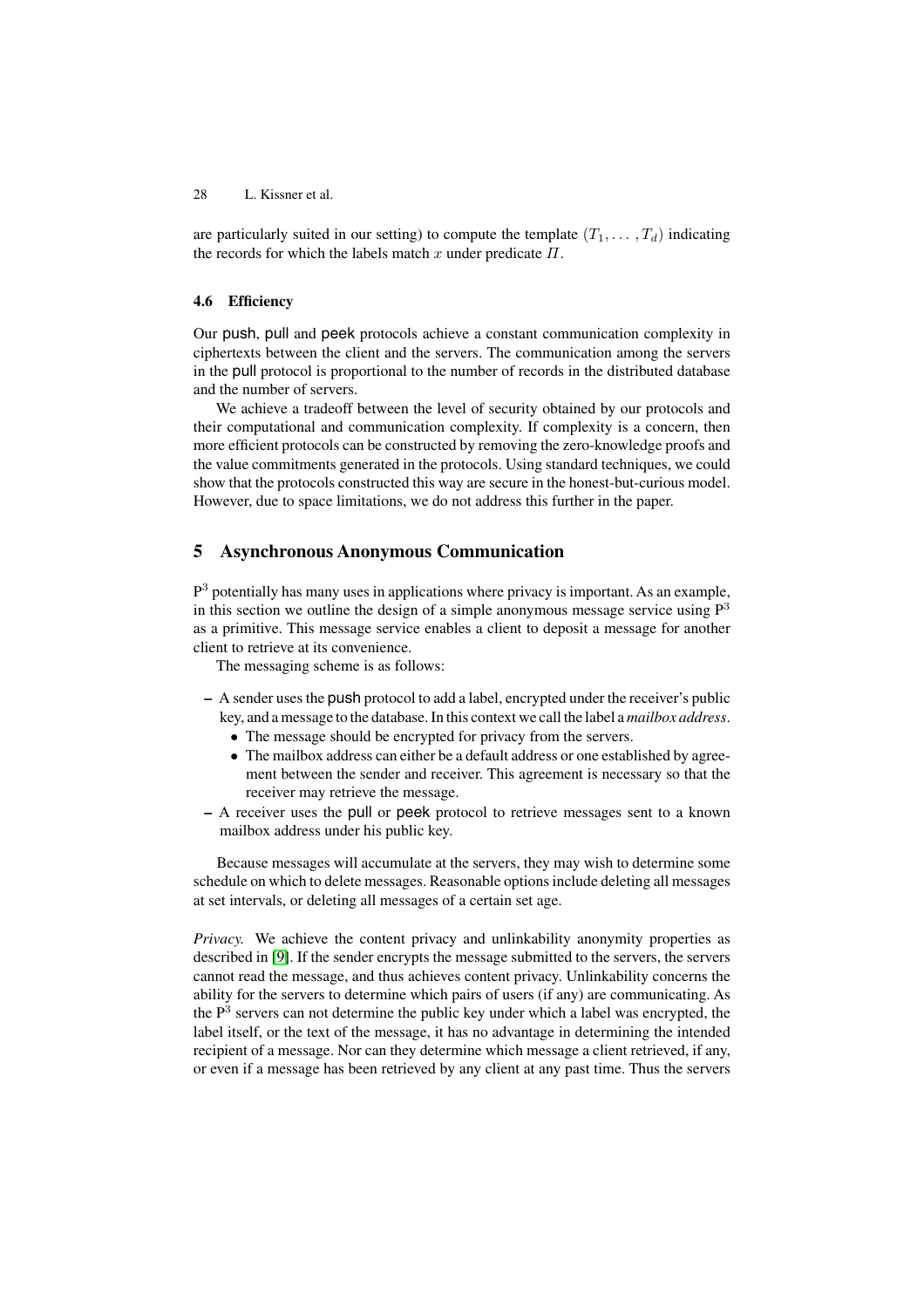<span id="page-12-0"></span>are particularly suited in our setting) to compute the template  $(T_1, \ldots, T_d)$  indicating the records for which the labels match  $x$  under predicate  $\Pi$ .

#### **4.6 Efficiency**

Our push, pull and peek protocols achieve a constant communication complexity in ciphertexts between the client and the servers. The communication among the servers in the pull protocol is proportional to the number of records in the distributed database and the number of servers.

We achieve a tradeoff between the level of security obtained by our protocols and their computational and communication complexity. If complexity is a concern, then more efficient protocols can be constructed by removing the zero-knowledge proofs and the value commitments generated in the protocols. Using standard techniques, we could show that the protocols constructed this way are secure in the honest-but-curious model. However, due to space limitations, we do not address this further in the paper.

## **5 Asynchronous Anonymous Communication**

 $P<sup>3</sup>$  potentially has many uses in applications where privacy is important. As an example, in this section we outline the design of a simple anonymous message service using  $P<sup>3</sup>$ as a primitive. This message service enables a client to deposit a message for another client to retrieve at its convenience.

The messaging scheme is as follows:

- **–** A sender uses the push protocol to add a label, encrypted under the receiver's public key, and a message to the database. In this context we call the label a *mailbox address*.
	- The message should be encrypted for privacy from the servers.
	- The mailbox address can either be a default address or one established by agreement between the sender and receiver. This agreement is necessary so that the receiver may retrieve the message.
- **–** A receiver uses the pull or peek protocol to retrieve messages sent to a known mailbox address under his public key.

Because messages will accumulate at the servers, they may wish to determine some schedule on which to delete messages. Reasonable options include deleting all messages at set intervals, or deleting all messages of a certain set age.

*Privacy.* We achieve the content privacy and unlinkability anonymity properties as described in [\[9\]](#page-14-0). If the sender encrypts the message submitted to the servers, the servers cannot read the message, and thus achieves content privacy. Unlinkability concerns the ability for the servers to determine which pairs of users (if any) are communicating. As the  $P<sup>3</sup>$  servers can not determine the public key under which a label was encrypted, the label itself, or the text of the message, it has no advantage in determining the intended recipient of a message. Nor can they determine which message a client retrieved, if any, or even if a message has been retrieved by any client at any past time. Thus the servers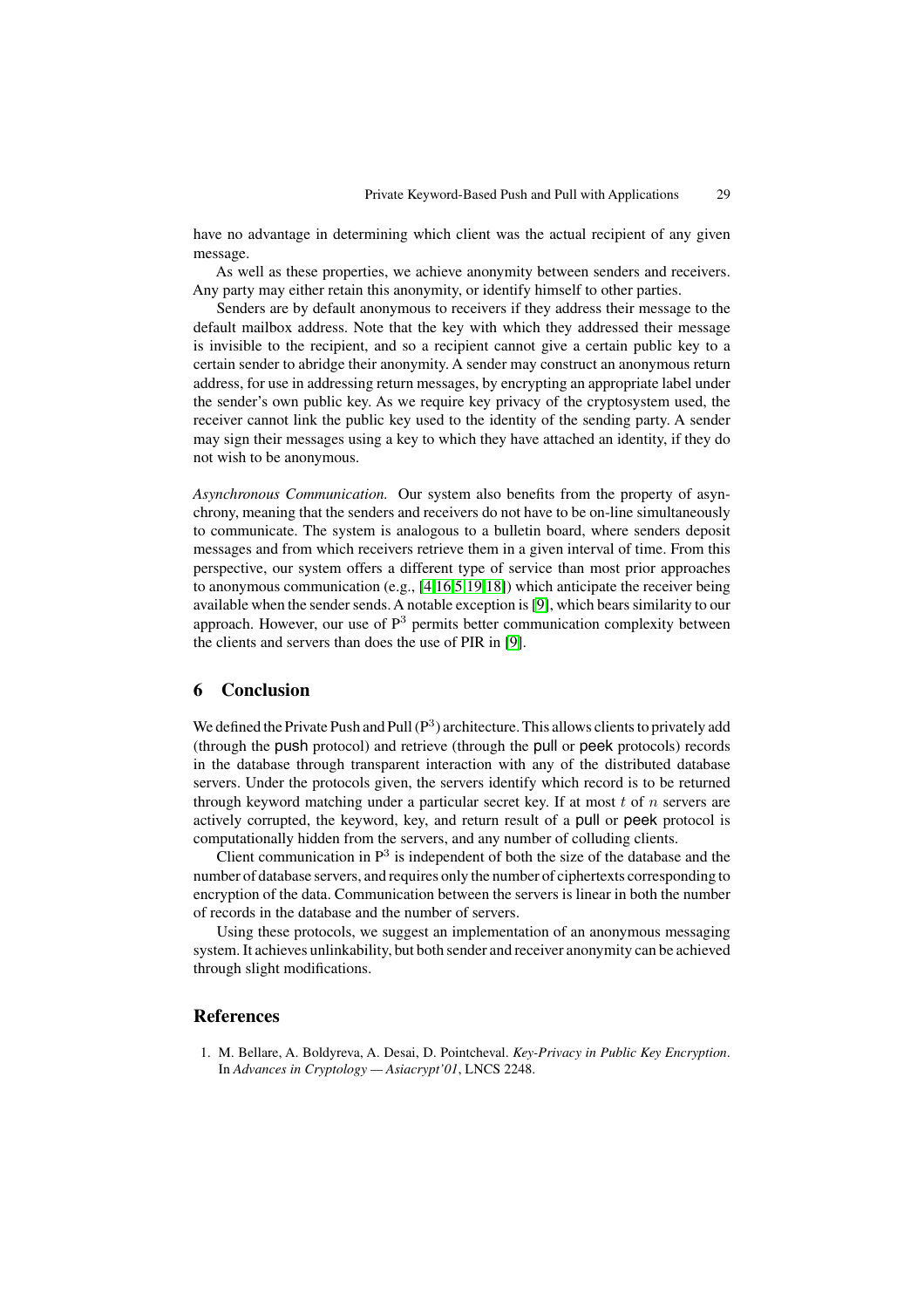<span id="page-13-0"></span>have no advantage in determining which client was the actual recipient of any given message.

As well as these properties, we achieve anonymity between senders and receivers. Any party may either retain this anonymity, or identify himself to other parties.

Senders are by default anonymous to receivers if they address their message to the default mailbox address. Note that the key with which they addressed their message is invisible to the recipient, and so a recipient cannot give a certain public key to a certain sender to abridge their anonymity. A sender may construct an anonymous return address, for use in addressing return messages, by encrypting an appropriate label under the sender's own public key. As we require key privacy of the cryptosystem used, the receiver cannot link the public key used to the identity of the sending party. A sender may sign their messages using a key to which they have attached an identity, if they do not wish to be anonymous.

*Asynchronous Communication.* Our system also benefits from the property of asynchrony, meaning that the senders and receivers do not have to be on-line simultaneously to communicate. The system is analogous to a bulletin board, where senders deposit messages and from which receivers retrieve them in a given interval of time. From this perspective, our system offers a different type of service than most prior approaches to anonymous communication (e.g., [\[4,16,5,19,18\]](#page-14-0)) which anticipate the receiver being available when the sender sends. A notable exception is [\[9\]](#page-14-0), which bears similarity to our approach. However, our use of  $P<sup>3</sup>$  permits better communication complexity between the clients and servers than does the use of PIR in [\[9\]](#page-14-0).

#### **6 Conclusion**

We defined the Private Push and Pull  $(P^3)$  architecture. This allows clients to privately add (through the push protocol) and retrieve (through the pull or peek protocols) records in the database through transparent interaction with any of the distributed database servers. Under the protocols given, the servers identify which record is to be returned through keyword matching under a particular secret key. If at most  $t$  of  $n$  servers are actively corrupted, the keyword, key, and return result of a pull or peek protocol is computationally hidden from the servers, and any number of colluding clients.

Client communication in  $P<sup>3</sup>$  is independent of both the size of the database and the number of database servers, and requires only the number of ciphertexts corresponding to encryption of the data. Communication between the servers is linear in both the number of records in the database and the number of servers.

Using these protocols, we suggest an implementation of an anonymous messaging system. It achieves unlinkability, but both sender and receiver anonymity can be achieved through slight modifications.

#### **References**

1. M. Bellare, A. Boldyreva, A. Desai, D. Pointcheval. *Key-Privacy in Public Key Encryption*. In *Advances in Cryptology — Asiacrypt'01*, LNCS 2248.